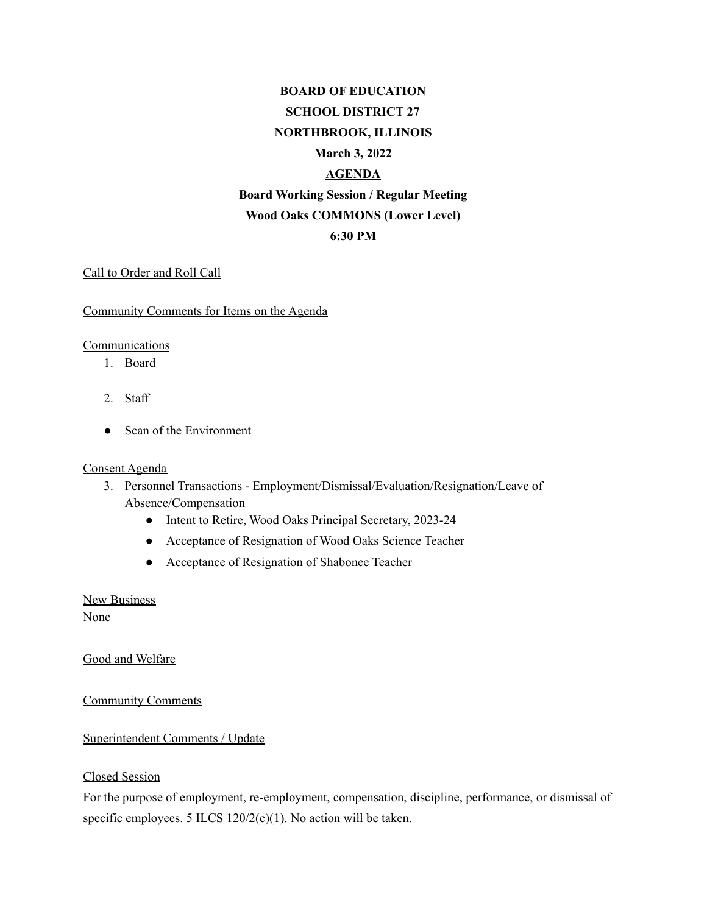# **BOARD OF EDUCATION SCHOOL DISTRICT 27 NORTHBROOK, ILLINOIS March 3, 2022 AGENDA Board Working Session / Regular Meeting Wood Oaks COMMONS (Lower Level) 6:30 PM**

### Call to Order and Roll Call

#### Community Comments for Items on the Agenda

#### **Communications**

- 1. Board
- 2. Staff
- Scan of the Environment

#### Consent Agenda

- 3. Personnel Transactions Employment/Dismissal/Evaluation/Resignation/Leave of Absence/Compensation
	- Intent to Retire, Wood Oaks Principal Secretary, 2023-24
	- Acceptance of Resignation of Wood Oaks Science Teacher
	- Acceptance of Resignation of Shabonee Teacher

New Business None

Good and Welfare

Community Comments

#### Superintendent Comments / Update

#### Closed Session

For the purpose of employment, re-employment, compensation, discipline, performance, or dismissal of specific employees. 5 ILCS 120/2(c)(1). No action will be taken.